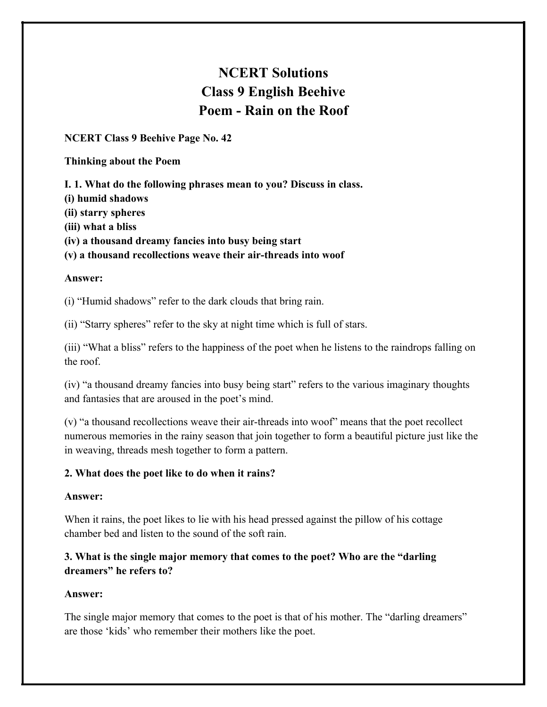# **NCERT Solutions Class 9 English Beehive Poem - Rain on the Roof**

**NCERT Class 9 Beehive Page No. 42**

## **Thinking about the Poem**

**I. 1. What do the following phrases mean to you? Discuss in class.**

**(i) humid shadows**

**(ii) starry spheres**

**(iii) what a bliss**

**(iv) a thousand dreamy fancies into busy being start**

**(v) a thousand recollections weave their air-threads into woof**

## **Answer:**

(i) "Humid shadows" refer to the dark clouds that bring rain.

(ii) "Starry spheres" refer to the sky at night time which is full of stars.

(iii) "What a bliss" refers to the happiness of the poet when he listens to the raindrops falling on the roof.

(iv) "a thousand dreamy fancies into busy being start" refers to the various imaginary thoughts and fantasies that are aroused in the poet's mind.

(v) "a thousand recollections weave their air-threads into woof" means that the poet recollect numerous memories in the rainy season that join together to form a beautiful picture just like the in weaving, threads mesh together to form a pattern.

# **2. What does the poet like to do when it rains?**

## **Answer:**

When it rains, the poet likes to lie with his head pressed against the pillow of his cottage chamber bed and listen to the sound of the soft rain.

# **3. What is the single major memory that comes to the poet? Who are the "darling dreamers" he refers to?**

# **Answer:**

The single major memory that comes to the poet is that of his mother. The "darling dreamers" are those 'kids' who remember their mothers like the poet.